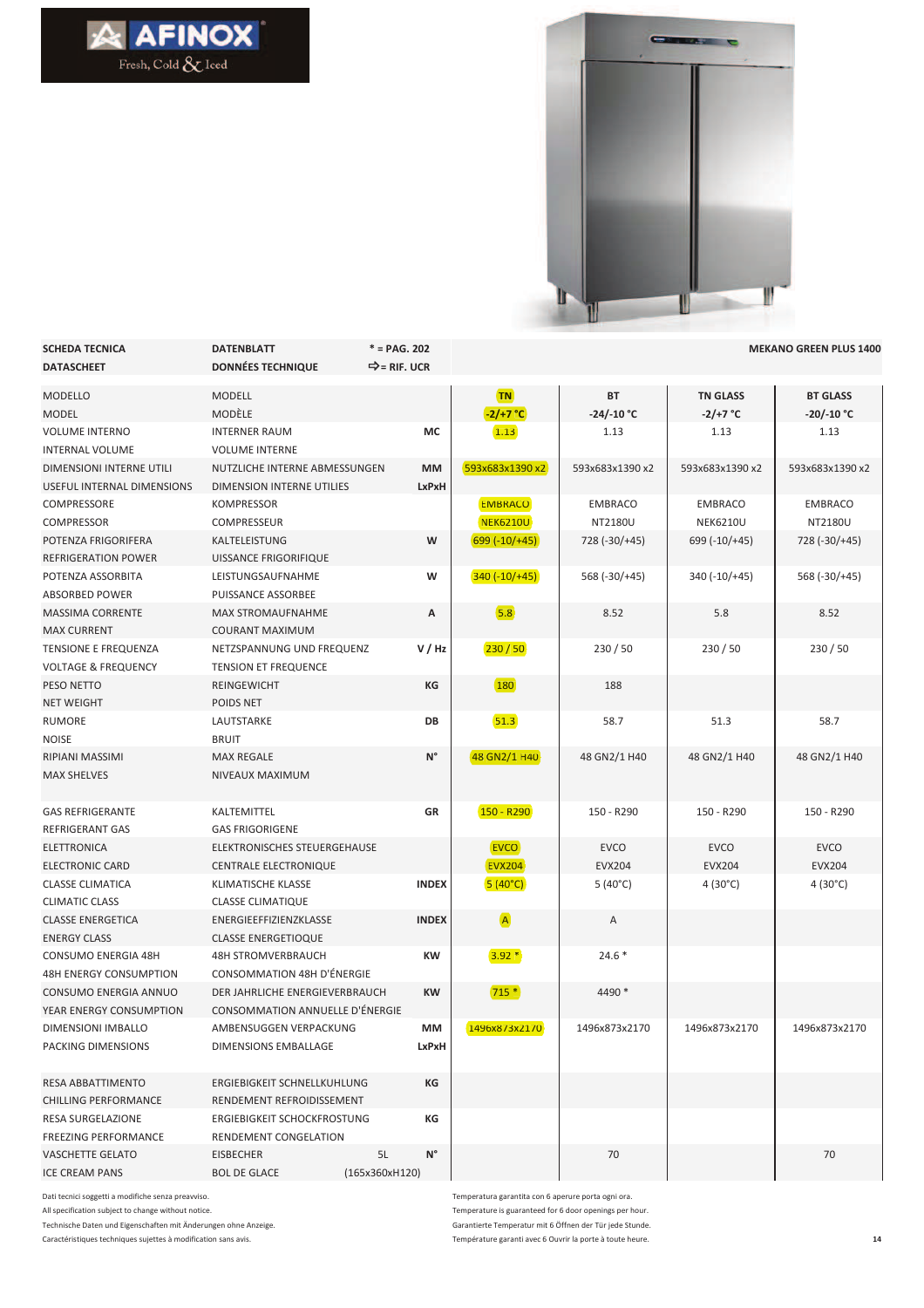



| <b>SCHEDA TECNICA</b>          | <b>DATENBLATT</b>               | $* = PAG. 202$    |                  |                 |                  | <b>MEKANO GREEN PLUS 1400</b> |
|--------------------------------|---------------------------------|-------------------|------------------|-----------------|------------------|-------------------------------|
| <b>DATASCHEET</b>              | <b>DONNÉES TECHNIQUE</b>        | ➡= RIF. UCR       |                  |                 |                  |                               |
| <b>MODELLO</b>                 | <b>MODELL</b>                   |                   | <b>TN</b>        | BT              | <b>TN GLASS</b>  | <b>BT GLASS</b>               |
| <b>MODEL</b>                   | <b>MODÈLE</b>                   |                   | $-2/+7 °C$       | $-24/-10 °C$    | $-2/+7 °C$       | $-20/-10 °C$                  |
| <b>VOLUME INTERNO</b>          | <b>INTERNER RAUM</b>            | МC                | 1.13             | 1.13            | 1.13             | 1.13                          |
| <b>INTERNAL VOLUME</b>         | <b>VOLUME INTERNE</b>           |                   |                  |                 |                  |                               |
| DIMENSIONI INTERNE UTILI       | NUTZLICHE INTERNE ABMESSUNGEN   | <b>MM</b>         | 593x683x1390 x2  | 593x683x1390 x2 | 593x683x1390 x2  | 593x683x1390 x2               |
| USEFUL INTERNAL DIMENSIONS     | DIMENSION INTERNE UTILIES       | LxPxH             |                  |                 |                  |                               |
| COMPRESSORE                    | KOMPRESSOR                      |                   | <b>EMBRACO</b>   | <b>EMBRACO</b>  | <b>EMBRACO</b>   | <b>EMBRACO</b>                |
| <b>COMPRESSOR</b>              | COMPRESSEUR                     |                   | <b>NEK6210U</b>  | NT2180U         | <b>NEK6210U</b>  | NT2180U                       |
| POTENZA FRIGORIFERA            | KALTELEISTUNG                   | W                 | $699 (-10) + 45$ | 728 (-30/+45)   | 699 (-10/+45)    | 728 (-30/+45)                 |
| REFRIGERATION POWER            | UISSANCE FRIGORIFIQUE           |                   |                  |                 |                  |                               |
| POTENZA ASSORBITA              | LEISTUNGSAUFNAHME               | w                 | $340 (-10) + 45$ | 568 (-30/+45)   | $340 (-10) + 45$ | 568 (-30/+45)                 |
| ABSORBED POWER                 | PUISSANCE ASSORBEE              |                   |                  |                 |                  |                               |
| <b>MASSIMA CORRENTE</b>        | <b>MAX STROMAUFNAHME</b>        | А                 | 5.8              | 8.52            | 5.8              | 8.52                          |
| <b>MAX CURRENT</b>             | COURANT MAXIMUM                 |                   |                  |                 |                  |                               |
| TENSIONE E FREQUENZA           | NETZSPANNUNG UND FREQUENZ       | V/Hz              | 230/50           | 230/50          | 230/50           | 230 / 50                      |
| <b>VOLTAGE &amp; FREQUENCY</b> | <b>TENSION ET FREQUENCE</b>     |                   |                  |                 |                  |                               |
| PESO NETTO                     | <b>REINGEWICHT</b>              | КG                | <b>180</b>       | 188             |                  |                               |
| <b>NET WEIGHT</b>              | POIDS NET                       |                   |                  |                 |                  |                               |
| RUMORE                         | LAUTSTARKE                      | DB                | 51.3             | 58.7            | 51.3             | 58.7                          |
| <b>NOISE</b>                   | <b>BRUIT</b>                    |                   |                  |                 |                  |                               |
| <b>RIPIANI MASSIMI</b>         | <b>MAX REGALE</b>               | $N^{\circ}$       | 48 GN2/1 H40     | 48 GN2/1 H40    | 48 GN2/1 H40     | 48 GN2/1 H40                  |
| <b>MAX SHELVES</b>             | NIVEAUX MAXIMUM                 |                   |                  |                 |                  |                               |
|                                |                                 |                   |                  |                 |                  |                               |
| <b>GAS REFRIGERANTE</b>        | KALTEMITTEL                     | GR                | $150 - R290$     | 150 - R290      | 150 - R290       | 150 - R290                    |
| <b>REFRIGERANT GAS</b>         | <b>GAS FRIGORIGENE</b>          |                   |                  |                 |                  |                               |
| ELETTRONICA                    | ELEKTRONISCHES STEUERGEHAUSE    |                   | <b>EVCO</b>      | <b>EVCO</b>     | <b>EVCO</b>      | <b>EVCO</b>                   |
| <b>ELECTRONIC CARD</b>         | <b>CENTRALE ELECTRONIQUE</b>    |                   | <b>EVX204</b>    | <b>EVX204</b>   | <b>EVX204</b>    | <b>EVX204</b>                 |
| <b>CLASSE CLIMATICA</b>        | KLIMATISCHE KLASSE              | <b>INDEX</b>      | $5(40^{\circ}C)$ | 5 (40°C)        | 4 (30°C)         | $4(30^{\circ}C)$              |
| <b>CLIMATIC CLASS</b>          | <b>CLASSE CLIMATIQUE</b>        |                   |                  |                 |                  |                               |
| <b>CLASSE ENERGETICA</b>       | ENERGIEEFFIZIENZKLASSE          | <b>INDEX</b>      | $\overline{A}$   | Α               |                  |                               |
| <b>ENERGY CLASS</b>            | <b>CLASSE ENERGETIOQUE</b>      |                   |                  |                 |                  |                               |
| <b>CONSUMO ENERGIA 48H</b>     | <b>48H STROMVERBRAUCH</b>       | KW                | $3.92*$          | $24.6*$         |                  |                               |
| <b>48H ENERGY CONSUMPTION</b>  | CONSOMMATION 48H D'ÉNERGIE      |                   |                  |                 |                  |                               |
| CONSUMO ENERGIA ANNUO          | DER JAHRLICHE ENERGIEVERBRAUCH  | <b>KW</b>         | $715*$           | 4490 *          |                  |                               |
| YEAR ENERGY CONSUMPTION        | CONSOMMATION ANNUELLE D'ÉNERGIE |                   |                  |                 |                  |                               |
| DIMENSIONI IMBALLO             | AMBENSUGGEN VERPACKUNG          | MМ                | 1496x873x2170    | 1496x873x2170   | 1496x873x2170    | 1496x873x2170                 |
| PACKING DIMENSIONS             | DIMENSIONS EMBALLAGE            | LxPxH             |                  |                 |                  |                               |
|                                |                                 |                   |                  |                 |                  |                               |
| <b>RESA ABBATTIMENTO</b>       | ERGIEBIGKEIT SCHNELLKUHLUNG     | КG                |                  |                 |                  |                               |
| <b>CHILLING PERFORMANCE</b>    | RENDEMENT REFROIDISSEMENT       |                   |                  |                 |                  |                               |
| RESA SURGELAZIONE              | ERGIEBIGKEIT SCHOCKFROSTUNG     | КG                |                  |                 |                  |                               |
| <b>FREEZING PERFORMANCE</b>    | RENDEMENT CONGELATION           |                   |                  |                 |                  |                               |
| <b>VASCHETTE GELATO</b>        | EISBECHER                       | $N^{\circ}$<br>5L |                  | 70              |                  | 70                            |
| <b>ICE CREAM PANS</b>          | <b>BOL DE GLACE</b>             | (165x360xH120)    |                  |                 |                  |                               |

Dati tecnici soggetti a modifiche senza preavviso. All specification subject to change without notice. Technische Daten und Eigenschaften mit Änderungen ohne Anzeige.

Caractéristiques techniques sujettes à modification sans avis.

Temperatura garantita con 6 aperure porta ogni ora. Temperature is guaranteed for 6 door openings per hour. Garantierte Temperatur mit 6 Öffnen der Tür jede Stunde. Température garanti avec 6 Ouvrir la porte à toute heure. **14**